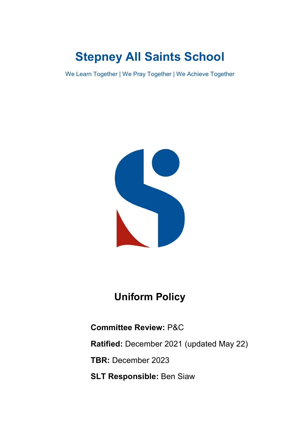# **Stepney All Saints School**

We Learn Together | We Pray Together | We Achieve Together



## **Uniform Policy**

### **Committee Review:** P&C

**Ratified:** December 2021 (updated May 22)

**TBR:** December 2023

**SLT Responsible:** Ben Siaw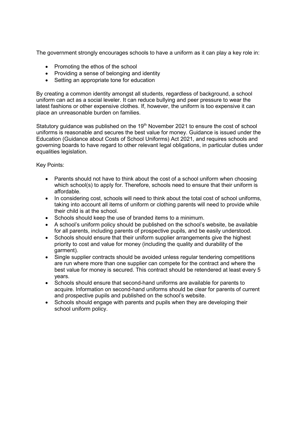The government strongly encourages schools to have a uniform as it can play a key role in:

- Promoting the ethos of the school
- Providing a sense of belonging and identity
- Setting an appropriate tone for education

By creating a common identity amongst all students, regardless of background, a school uniform can act as a social leveler. It can reduce bullying and peer pressure to wear the latest fashions or other expensive clothes. If, however, the uniform is too expensive it can place an unreasonable burden on families.

Statutory guidance was published on the 19<sup>th</sup> November 2021 to ensure the cost of school uniforms is reasonable and secures the best value for money. Guidance is issued under the Education (Guidance about Costs of School Uniforms) Act 2021, and requires schools and governing boards to have regard to other relevant legal obligations, in particular duties under equalities legislation.

Key Points:

- Parents should not have to think about the cost of a school uniform when choosing which school(s) to apply for. Therefore, schools need to ensure that their uniform is affordable.
- In considering cost, schools will need to think about the total cost of school uniforms, taking into account all items of uniform or clothing parents will need to provide while their child is at the school.
- Schools should keep the use of branded items to a minimum.
- A school's uniform policy should be published on the school's website, be available for all parents, including parents of prospective pupils, and be easily understood.
- Schools should ensure that their uniform supplier arrangements give the highest priority to cost and value for money (including the quality and durability of the garment).
- Single supplier contracts should be avoided unless regular tendering competitions are run where more than one supplier can compete for the contract and where the best value for money is secured. This contract should be retendered at least every 5 years.
- Schools should ensure that second-hand uniforms are available for parents to acquire. Information on second-hand uniforms should be clear for parents of current and prospective pupils and published on the school's website.
- Schools should engage with parents and pupils when they are developing their school uniform policy.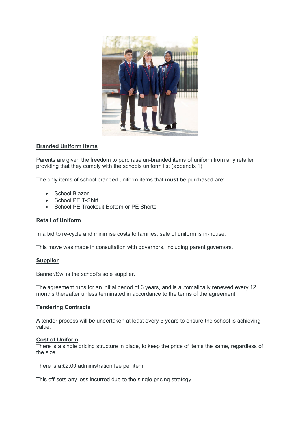

#### **Branded Uniform Items**

Parents are given the freedom to purchase un-branded items of uniform from any retailer providing that they comply with the schools uniform list (appendix 1).

The only items of school branded uniform items that **must** be purchased are:

- School Blazer
- School PE T-Shirt
- School PE Tracksuit Bottom or PE Shorts

#### **Retail of Uniform**

In a bid to re-cycle and minimise costs to families, sale of uniform is in-house.

This move was made in consultation with governors, including parent governors.

#### **Supplier**

Banner/Swi is the school's sole supplier.

The agreement runs for an initial period of 3 years, and is automatically renewed every 12 months thereafter unless terminated in accordance to the terms of the agreement.

#### **Tendering Contracts**

A tender process will be undertaken at least every 5 years to ensure the school is achieving value.

#### **Cost of Uniform**

There is a single pricing structure in place, to keep the price of items the same, regardless of the size.

There is a £2.00 administration fee per item.

This off-sets any loss incurred due to the single pricing strategy.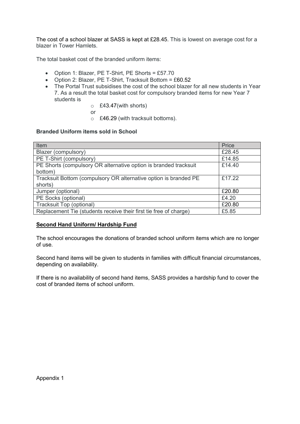The cost of a school blazer at SASS is kept at £28.45. This is lowest on average cost for a blazer in Tower Hamlets.

The total basket cost of the branded uniform items:

- Option 1: Blazer, PE T-Shirt, PE Shorts = £57.70
- Option 2: Blazer, PE T-Shirt, Tracksuit Bottom = £60.52
- The Portal Trust subsidises the cost of the school blazer for all new students in Year 7. As a result the total basket cost for compulsory branded items for new Year 7 students is
	- o £43.47(with shorts)
	- or
	- o £46.29 (with tracksuit bottoms).

#### **Branded Uniform items sold in School**

| Item                                                              | Price  |
|-------------------------------------------------------------------|--------|
| Blazer (compulsory)                                               | £28.45 |
| PE T-Shirt (compulsory)                                           | £14.85 |
| PE Shorts (compulsory OR alternative option is branded tracksuit  | £14.40 |
| bottom)                                                           |        |
| Tracksuit Bottom (compulsory OR alternative option is branded PE  | £17.22 |
| shorts)                                                           |        |
| Jumper (optional)                                                 | £20.80 |
| PE Socks (optional)                                               | £4.20  |
| Tracksuit Top (optional)                                          | £20.80 |
| Replacement Tie (students receive their first tie free of charge) | £5.85  |

#### **Second Hand Uniform/ Hardship Fund**

The school encourages the donations of branded school uniform items which are no longer of use.

Second hand items will be given to students in families with difficult financial circumstances, depending on availability.

If there is no availability of second hand items, SASS provides a hardship fund to cover the cost of branded items of school uniform.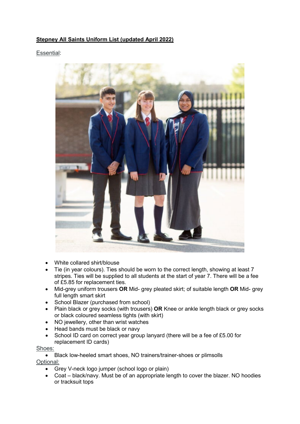#### **Stepney All Saints Uniform List (updated April 2022)**

#### Essential:



- White collared shirt/blouse
- Tie (in year colours). Ties should be worn to the correct length, showing at least 7 stripes. Ties will be supplied to all students at the start of year 7. There will be a fee of £5.85 for replacement ties.
- Mid-grey uniform trousers **OR** Mid- grey pleated skirt; of suitable length **OR** Mid- grey full length smart skirt
- School Blazer (purchased from school)
- Plain black or grey socks (with trousers) **OR** Knee or ankle length black or grey socks or black coloured seamless tights (with skirt)
- NO jewellery, other than wrist watches
- Head bands must be black or navy
- School ID card on correct year group lanyard (there will be a fee of £5.00 for replacement ID cards)

#### Shoes:

- Black low-heeled smart shoes, NO trainers/trainer-shoes or plimsolls Optional:
	- Grey V-neck logo jumper (school logo or plain)
	- Coat black/navy. Must be of an appropriate length to cover the blazer. NO hoodies or tracksuit tops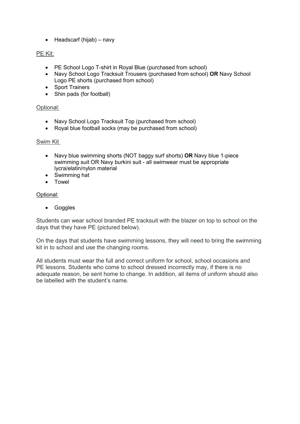• Headscarf (hijab) – navy

#### PE Kit:

- PE School Logo T-shirt in Royal Blue (purchased from school)
- Navy School Logo Tracksuit Trousers (purchased from school) **OR** Navy School Logo PE shorts (purchased from school)
- Sport Trainers
- Shin pads (for football)

#### Optional:

- Navy School Logo Tracksuit Top (purchased from school)
- Royal blue football socks (may be purchased from school)

#### Swim Kit

- Navy blue swimming shorts (NOT baggy surf shorts) **OR** Navy blue 1-piece swimming suit OR Navy burkini suit - all swimwear must be appropriate lycra/elatin/nylon material
- Swimming hat
- Towel

#### Optional:

• Goggles

Students can wear school branded PE tracksuit with the blazer on top to school on the days that they have PE (pictured below).

On the days that students have swimming lessons, they will need to bring the swimming kit in to school and use the changing rooms.

All students must wear the full and correct uniform for school, school occasions and PE lessons. Students who come to school dressed incorrectly may, if there is no adequate reason, be sent home to change. In addition, all items of uniform should also be labelled with the student's name.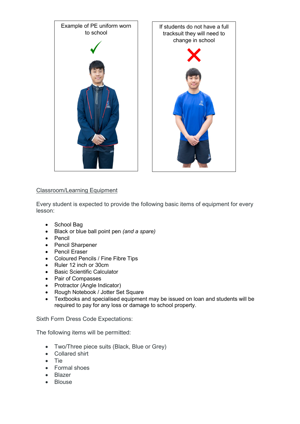

#### Classroom/Learning Equipment

Every student is expected to provide the following basic items of equipment for every lesson:

- School Bag
- Black or blue ball point pen *(and a spare)*
- Pencil
- Pencil Sharpener
- Pencil Eraser
- Coloured Pencils / Fine Fibre Tips
- Ruler 12 inch or 30cm
- Basic Scientific Calculator
- Pair of Compasses
- Protractor (Angle Indicator)
- Rough Notebook / Jotter Set Square
- Textbooks and specialised equipment may be issued on loan and students will be required to pay for any loss or damage to school property.

Sixth Form Dress Code Expectations:

The following items will be permitted:

- Two/Three piece suits (Black, Blue or Grey)
- Collared shirt
- Tie
- Formal shoes
- Blazer
- Blouse